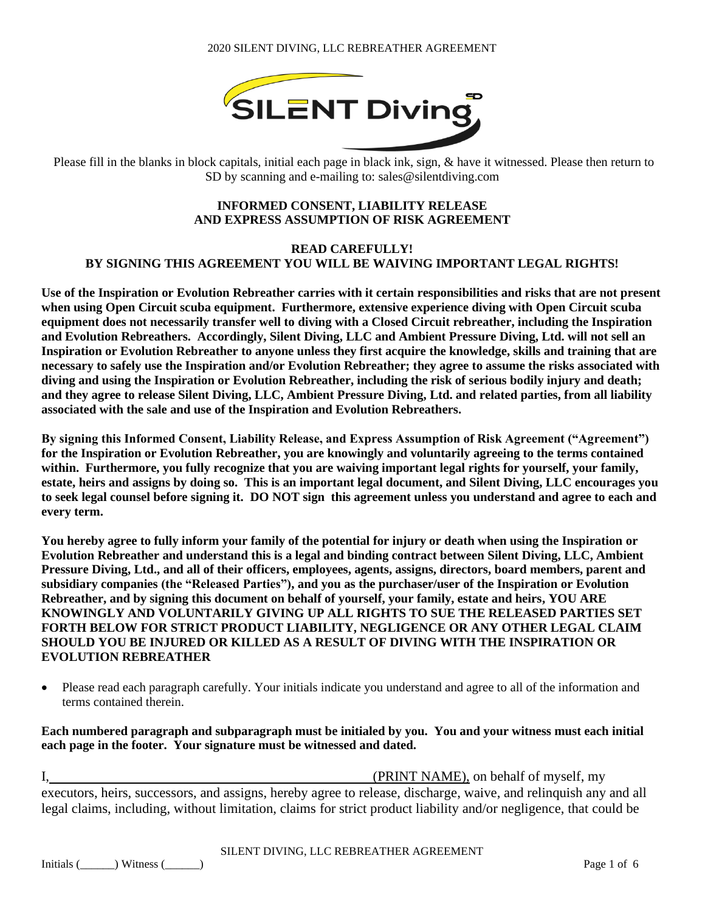

Please fill in the blanks in block capitals, initial each page in black ink, sign, & have it witnessed. Please then return to SD by scanning and e-mailing to: sales@silentdiving.com

### **INFORMED CONSENT, LIABILITY RELEASE AND EXPRESS ASSUMPTION OF RISK AGREEMENT**

#### **READ CAREFULLY! BY SIGNING THIS AGREEMENT YOU WILL BE WAIVING IMPORTANT LEGAL RIGHTS!**

**Use of the Inspiration or Evolution Rebreather carries with it certain responsibilities and risks that are not present when using Open Circuit scuba equipment. Furthermore, extensive experience diving with Open Circuit scuba equipment does not necessarily transfer well to diving with a Closed Circuit rebreather, including the Inspiration and Evolution Rebreathers. Accordingly, Silent Diving, LLC and Ambient Pressure Diving, Ltd. will not sell an Inspiration or Evolution Rebreather to anyone unless they first acquire the knowledge, skills and training that are necessary to safely use the Inspiration and/or Evolution Rebreather; they agree to assume the risks associated with diving and using the Inspiration or Evolution Rebreather, including the risk of serious bodily injury and death; and they agree to release Silent Diving, LLC, Ambient Pressure Diving, Ltd. and related parties, from all liability associated with the sale and use of the Inspiration and Evolution Rebreathers.**

**By signing this Informed Consent, Liability Release, and Express Assumption of Risk Agreement ("Agreement") for the Inspiration or Evolution Rebreather, you are knowingly and voluntarily agreeing to the terms contained within. Furthermore, you fully recognize that you are waiving important legal rights for yourself, your family, estate, heirs and assigns by doing so. This is an important legal document, and Silent Diving, LLC encourages you to seek legal counsel before signing it. DO NOT sign this agreement unless you understand and agree to each and every term.** 

**You hereby agree to fully inform your family of the potential for injury or death when using the Inspiration or Evolution Rebreather and understand this is a legal and binding contract between Silent Diving, LLC, Ambient Pressure Diving, Ltd., and all of their officers, employees, agents, assigns, directors, board members, parent and subsidiary companies (the "Released Parties"), and you as the purchaser/user of the Inspiration or Evolution Rebreather, and by signing this document on behalf of yourself, your family, estate and heirs, YOU ARE KNOWINGLY AND VOLUNTARILY GIVING UP ALL RIGHTS TO SUE THE RELEASED PARTIES SET FORTH BELOW FOR STRICT PRODUCT LIABILITY, NEGLIGENCE OR ANY OTHER LEGAL CLAIM SHOULD YOU BE INJURED OR KILLED AS A RESULT OF DIVING WITH THE INSPIRATION OR EVOLUTION REBREATHER**

• Please read each paragraph carefully. Your initials indicate you understand and agree to all of the information and terms contained therein.

**Each numbered paragraph and subparagraph must be initialed by you. You and your witness must each initial each page in the footer. Your signature must be witnessed and dated.**

I, (PRINT NAME), on behalf of myself, my executors, heirs, successors, and assigns, hereby agree to release, discharge, waive, and relinquish any and all legal claims, including, without limitation, claims for strict product liability and/or negligence, that could be

#### SILENT DIVING, LLC REBREATHER AGREEMENT

Initials (\_\_\_\_\_\_) Witness (\_\_\_\_\_\_) Page 1 of 6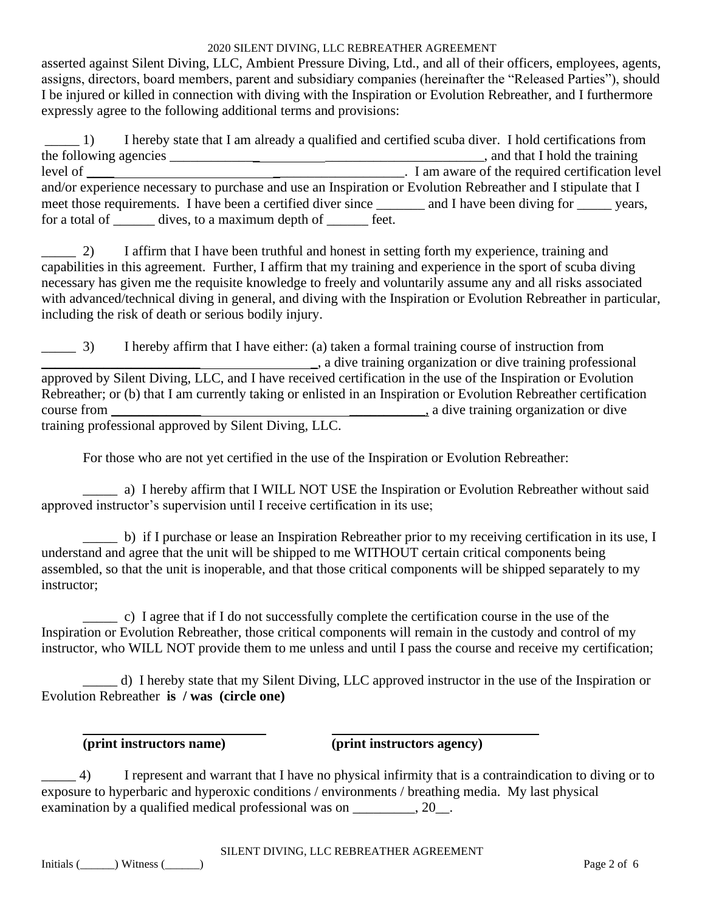asserted against Silent Diving, LLC, Ambient Pressure Diving, Ltd., and all of their officers, employees, agents, assigns, directors, board members, parent and subsidiary companies (hereinafter the "Released Parties"), should I be injured or killed in connection with diving with the Inspiration or Evolution Rebreather, and I furthermore expressly agree to the following additional terms and provisions:

\_\_\_\_\_ 1) I hereby state that I am already a qualified and certified scuba diver. I hold certifications from the following agencies \_\_\_\_\_\_\_\_\_\_\_\_\_ \_\_\_\_\_\_\_\_\_\_\_\_\_\_\_\_\_\_\_\_\_\_\_, and that I hold the training level of \_\_\_\_ \_\_\_\_\_\_\_\_\_\_\_\_\_\_\_\_\_\_\_. I am aware of the required certification level and/or experience necessary to purchase and use an Inspiration or Evolution Rebreather and I stipulate that I meet those requirements. I have been a certified diver since \_\_\_\_\_\_\_ and I have been diving for \_\_\_\_\_\_ years, for a total of dives, to a maximum depth of feet.

\_\_\_\_\_ 2) I affirm that I have been truthful and honest in setting forth my experience, training and capabilities in this agreement. Further, I affirm that my training and experience in the sport of scuba diving necessary has given me the requisite knowledge to freely and voluntarily assume any and all risks associated with advanced/technical diving in general, and diving with the Inspiration or Evolution Rebreather in particular, including the risk of death or serious bodily injury.

\_\_\_\_\_ 3) I hereby affirm that I have either: (a) taken a formal training course of instruction from \_\_\_\_\_\_\_\_\_\_\_\_\_\_\_\_\_\_\_\_\_\_\_ \_, a dive training organization or dive training professional approved by Silent Diving, LLC, and I have received certification in the use of the Inspiration or Evolution Rebreather; or (b) that I am currently taking or enlisted in an Inspiration or Evolution Rebreather certification course from \_\_\_\_\_\_\_\_\_\_\_\_\_ \_\_\_\_\_\_\_\_\_\_\_, a dive training organization or dive training professional approved by Silent Diving, LLC.

For those who are not yet certified in the use of the Inspiration or Evolution Rebreather:

\_\_\_\_\_ a) I hereby affirm that I WILL NOT USE the Inspiration or Evolution Rebreather without said approved instructor's supervision until I receive certification in its use;

\_\_\_\_\_ b) if I purchase or lease an Inspiration Rebreather prior to my receiving certification in its use, I understand and agree that the unit will be shipped to me WITHOUT certain critical components being assembled, so that the unit is inoperable, and that those critical components will be shipped separately to my instructor;

\_\_\_\_\_ c) I agree that if I do not successfully complete the certification course in the use of the Inspiration or Evolution Rebreather, those critical components will remain in the custody and control of my instructor, who WILL NOT provide them to me unless and until I pass the course and receive my certification;

\_\_\_\_\_ d) I hereby state that my Silent Diving, LLC approved instructor in the use of the Inspiration or Evolution Rebreather **is / was (circle one)**

**(print instructors name) (print instructors agency)**

\_\_\_\_\_ 4) I represent and warrant that I have no physical infirmity that is a contraindication to diving or to exposure to hyperbaric and hyperoxic conditions / environments / breathing media. My last physical examination by a qualified medical professional was on \_\_\_\_\_\_\_\_, 20\_.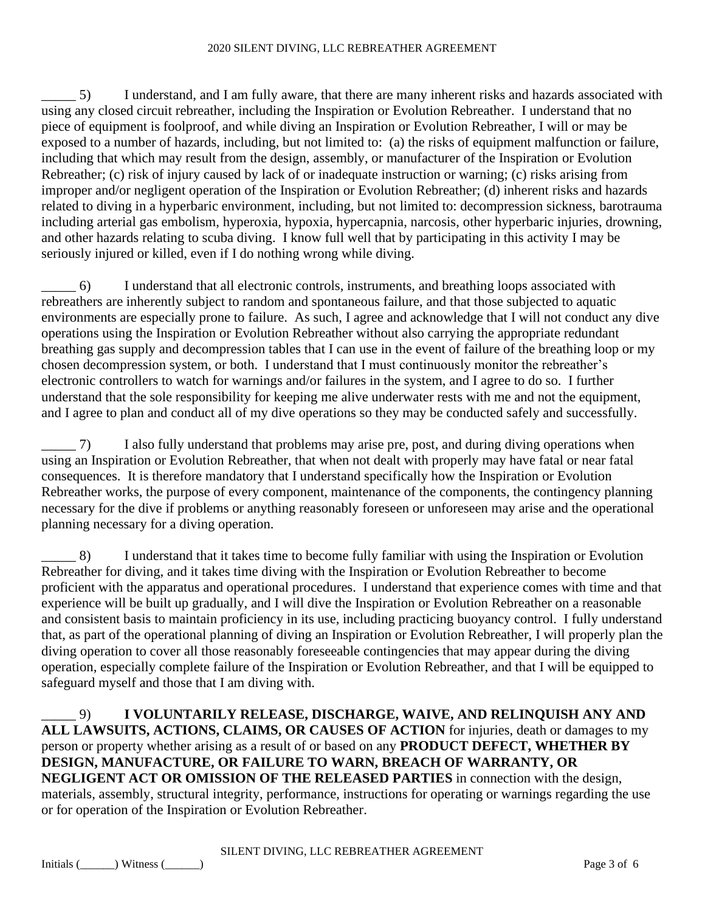\_\_\_\_\_ 5) I understand, and I am fully aware, that there are many inherent risks and hazards associated with using any closed circuit rebreather, including the Inspiration or Evolution Rebreather. I understand that no piece of equipment is foolproof, and while diving an Inspiration or Evolution Rebreather, I will or may be exposed to a number of hazards, including, but not limited to: (a) the risks of equipment malfunction or failure, including that which may result from the design, assembly, or manufacturer of the Inspiration or Evolution Rebreather; (c) risk of injury caused by lack of or inadequate instruction or warning; (c) risks arising from improper and/or negligent operation of the Inspiration or Evolution Rebreather; (d) inherent risks and hazards related to diving in a hyperbaric environment, including, but not limited to: decompression sickness, barotrauma including arterial gas embolism, hyperoxia, hypoxia, hypercapnia, narcosis, other hyperbaric injuries, drowning, and other hazards relating to scuba diving. I know full well that by participating in this activity I may be seriously injured or killed, even if I do nothing wrong while diving.

\_\_\_\_\_ 6) I understand that all electronic controls, instruments, and breathing loops associated with rebreathers are inherently subject to random and spontaneous failure, and that those subjected to aquatic environments are especially prone to failure. As such, I agree and acknowledge that I will not conduct any dive operations using the Inspiration or Evolution Rebreather without also carrying the appropriate redundant breathing gas supply and decompression tables that I can use in the event of failure of the breathing loop or my chosen decompression system, or both. I understand that I must continuously monitor the rebreather's electronic controllers to watch for warnings and/or failures in the system, and I agree to do so. I further understand that the sole responsibility for keeping me alive underwater rests with me and not the equipment, and I agree to plan and conduct all of my dive operations so they may be conducted safely and successfully.

\_\_\_\_\_ 7) I also fully understand that problems may arise pre, post, and during diving operations when using an Inspiration or Evolution Rebreather, that when not dealt with properly may have fatal or near fatal consequences. It is therefore mandatory that I understand specifically how the Inspiration or Evolution Rebreather works, the purpose of every component, maintenance of the components, the contingency planning necessary for the dive if problems or anything reasonably foreseen or unforeseen may arise and the operational planning necessary for a diving operation.

\_\_\_\_\_ 8) I understand that it takes time to become fully familiar with using the Inspiration or Evolution Rebreather for diving, and it takes time diving with the Inspiration or Evolution Rebreather to become proficient with the apparatus and operational procedures. I understand that experience comes with time and that experience will be built up gradually, and I will dive the Inspiration or Evolution Rebreather on a reasonable and consistent basis to maintain proficiency in its use, including practicing buoyancy control. I fully understand that, as part of the operational planning of diving an Inspiration or Evolution Rebreather, I will properly plan the diving operation to cover all those reasonably foreseeable contingencies that may appear during the diving operation, especially complete failure of the Inspiration or Evolution Rebreather, and that I will be equipped to safeguard myself and those that I am diving with.

\_\_\_\_\_ 9) **I VOLUNTARILY RELEASE, DISCHARGE, WAIVE, AND RELINQUISH ANY AND ALL LAWSUITS, ACTIONS, CLAIMS, OR CAUSES OF ACTION** for injuries, death or damages to my person or property whether arising as a result of or based on any **PRODUCT DEFECT, WHETHER BY DESIGN, MANUFACTURE, OR FAILURE TO WARN, BREACH OF WARRANTY, OR NEGLIGENT ACT OR OMISSION OF THE RELEASED PARTIES** in connection with the design, materials, assembly, structural integrity, performance, instructions for operating or warnings regarding the use or for operation of the Inspiration or Evolution Rebreather.

#### SILENT DIVING, LLC REBREATHER AGREEMENT

 $\text{Initials (}\qquad) \text{Witness (}\qquad)$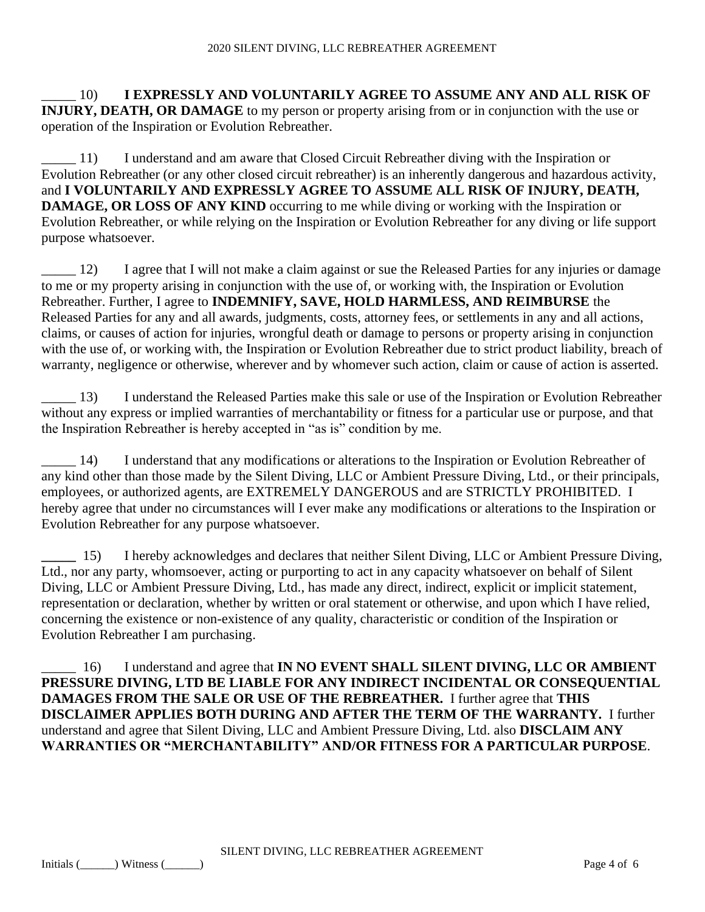\_\_\_\_\_ 10) **I EXPRESSLY AND VOLUNTARILY AGREE TO ASSUME ANY AND ALL RISK OF INJURY, DEATH, OR DAMAGE** to my person or property arising from or in conjunction with the use or operation of the Inspiration or Evolution Rebreather.

\_\_\_\_\_ 11) I understand and am aware that Closed Circuit Rebreather diving with the Inspiration or Evolution Rebreather (or any other closed circuit rebreather) is an inherently dangerous and hazardous activity, and **I VOLUNTARILY AND EXPRESSLY AGREE TO ASSUME ALL RISK OF INJURY, DEATH, DAMAGE, OR LOSS OF ANY KIND** occurring to me while diving or working with the Inspiration or Evolution Rebreather, or while relying on the Inspiration or Evolution Rebreather for any diving or life support purpose whatsoever.

\_\_\_\_\_ 12) I agree that I will not make a claim against or sue the Released Parties for any injuries or damage to me or my property arising in conjunction with the use of, or working with, the Inspiration or Evolution Rebreather. Further, I agree to **INDEMNIFY, SAVE, HOLD HARMLESS, AND REIMBURSE** the Released Parties for any and all awards, judgments, costs, attorney fees, or settlements in any and all actions, claims, or causes of action for injuries, wrongful death or damage to persons or property arising in conjunction with the use of, or working with, the Inspiration or Evolution Rebreather due to strict product liability, breach of warranty, negligence or otherwise, wherever and by whomever such action, claim or cause of action is asserted.

\_\_\_\_\_ 13) I understand the Released Parties make this sale or use of the Inspiration or Evolution Rebreather without any express or implied warranties of merchantability or fitness for a particular use or purpose, and that the Inspiration Rebreather is hereby accepted in "as is" condition by me.

\_\_\_\_\_ 14) I understand that any modifications or alterations to the Inspiration or Evolution Rebreather of any kind other than those made by the Silent Diving, LLC or Ambient Pressure Diving, Ltd., or their principals, employees, or authorized agents, are EXTREMELY DANGEROUS and are STRICTLY PROHIBITED. I hereby agree that under no circumstances will I ever make any modifications or alterations to the Inspiration or Evolution Rebreather for any purpose whatsoever.

**\_\_\_\_\_** 15) I hereby acknowledges and declares that neither Silent Diving, LLC or Ambient Pressure Diving, Ltd., nor any party, whomsoever, acting or purporting to act in any capacity whatsoever on behalf of Silent Diving, LLC or Ambient Pressure Diving, Ltd., has made any direct, indirect, explicit or implicit statement, representation or declaration, whether by written or oral statement or otherwise, and upon which I have relied, concerning the existence or non-existence of any quality, characteristic or condition of the Inspiration or Evolution Rebreather I am purchasing.

\_\_\_\_\_ 16) I understand and agree that **IN NO EVENT SHALL SILENT DIVING, LLC OR AMBIENT PRESSURE DIVING, LTD BE LIABLE FOR ANY INDIRECT INCIDENTAL OR CONSEQUENTIAL DAMAGES FROM THE SALE OR USE OF THE REBREATHER.** I further agree that **THIS DISCLAIMER APPLIES BOTH DURING AND AFTER THE TERM OF THE WARRANTY.** I further understand and agree that Silent Diving, LLC and Ambient Pressure Diving, Ltd. also **DISCLAIM ANY WARRANTIES OR "MERCHANTABILITY" AND/OR FITNESS FOR A PARTICULAR PURPOSE**.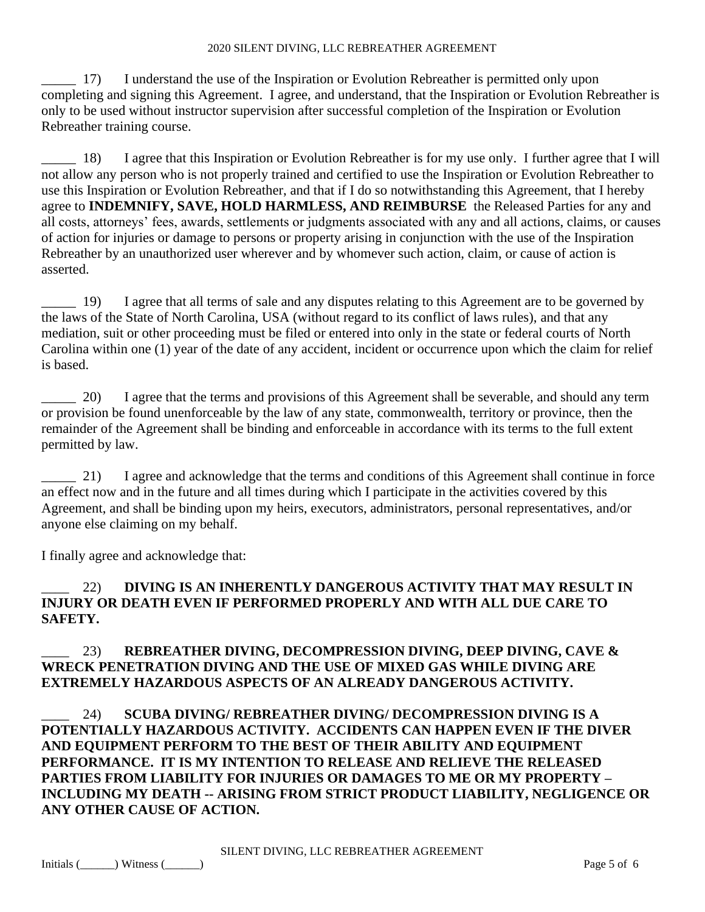17) I understand the use of the Inspiration or Evolution Rebreather is permitted only upon completing and signing this Agreement. I agree, and understand, that the Inspiration or Evolution Rebreather is only to be used without instructor supervision after successful completion of the Inspiration or Evolution Rebreather training course.

\_\_\_\_\_ 18) I agree that this Inspiration or Evolution Rebreather is for my use only. I further agree that I will not allow any person who is not properly trained and certified to use the Inspiration or Evolution Rebreather to use this Inspiration or Evolution Rebreather, and that if I do so notwithstanding this Agreement, that I hereby agree to **INDEMNIFY, SAVE, HOLD HARMLESS, AND REIMBURSE** the Released Parties for any and all costs, attorneys' fees, awards, settlements or judgments associated with any and all actions, claims, or causes of action for injuries or damage to persons or property arising in conjunction with the use of the Inspiration Rebreather by an unauthorized user wherever and by whomever such action, claim, or cause of action is asserted.

<sup>19</sup> I agree that all terms of sale and any disputes relating to this Agreement are to be governed by the laws of the State of North Carolina, USA (without regard to its conflict of laws rules), and that any mediation, suit or other proceeding must be filed or entered into only in the state or federal courts of North Carolina within one (1) year of the date of any accident, incident or occurrence upon which the claim for relief is based.

20) I agree that the terms and provisions of this Agreement shall be severable, and should any term or provision be found unenforceable by the law of any state, commonwealth, territory or province, then the remainder of the Agreement shall be binding and enforceable in accordance with its terms to the full extent permitted by law.

21) I agree and acknowledge that the terms and conditions of this Agreement shall continue in force an effect now and in the future and all times during which I participate in the activities covered by this Agreement, and shall be binding upon my heirs, executors, administrators, personal representatives, and/or anyone else claiming on my behalf.

I finally agree and acknowledge that:

## \_\_\_\_ 22) **DIVING IS AN INHERENTLY DANGEROUS ACTIVITY THAT MAY RESULT IN INJURY OR DEATH EVEN IF PERFORMED PROPERLY AND WITH ALL DUE CARE TO SAFETY.**

# \_\_\_\_ 23) **REBREATHER DIVING, DECOMPRESSION DIVING, DEEP DIVING, CAVE & WRECK PENETRATION DIVING AND THE USE OF MIXED GAS WHILE DIVING ARE EXTREMELY HAZARDOUS ASPECTS OF AN ALREADY DANGEROUS ACTIVITY.**

\_\_\_\_ 24) **SCUBA DIVING/ REBREATHER DIVING/ DECOMPRESSION DIVING IS A POTENTIALLY HAZARDOUS ACTIVITY. ACCIDENTS CAN HAPPEN EVEN IF THE DIVER AND EQUIPMENT PERFORM TO THE BEST OF THEIR ABILITY AND EQUIPMENT PERFORMANCE. IT IS MY INTENTION TO RELEASE AND RELIEVE THE RELEASED PARTIES FROM LIABILITY FOR INJURIES OR DAMAGES TO ME OR MY PROPERTY – INCLUDING MY DEATH -- ARISING FROM STRICT PRODUCT LIABILITY, NEGLIGENCE OR ANY OTHER CAUSE OF ACTION.**

SILENT DIVING, LLC REBREATHER AGREEMENT

 $\text{Initials (}\qquad) \text{Witness (}\qquad)$